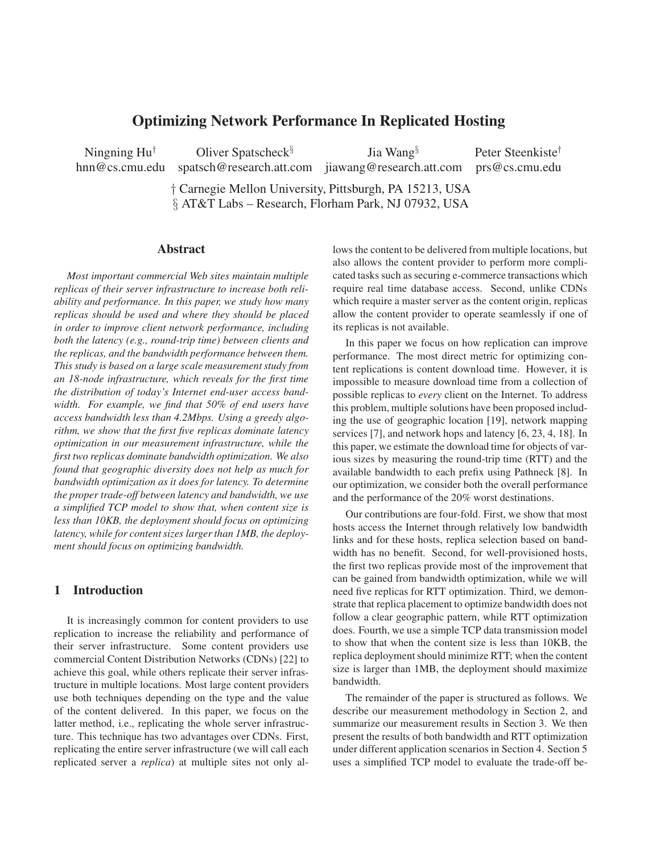# **Optimizing Network Performance In Replicated Hosting**

hnn@cs.cmu.edu spatsch@research.att.com jiawang@research.att.com prs@cs.cmu.edu

Ningning Hu*†* Oliver Spatscheck*§* Jia Wang*§* Peter Steenkiste*†*

† Carnegie Mellon University, Pittsburgh, PA 15213, USA § AT&T Labs – Research, Florham Park, NJ 07932, USA

## **Abstract**

*Most important commercial Web sites maintain multiple replicas of their server infrastructure to increase both reliability and performance. In this paper, we study how many replicas should be used and where they should be placed in order to improve client network performance, including both the latency (e.g., round-trip time) between clients and the replicas, and the bandwidth performance between them. This study is based on a large scale measurement study from an 18-node infrastructure, which reveals for the first time the distribution of today's Internet end-user access bandwidth. For example, we find that 50% of end users have access bandwidth less than 4.2Mbps. Using a greedy algorithm, we show that the first five replicas dominate latency optimization in our measurement infrastructure, while the first two replicas dominate bandwidth optimization. We also found that geographic diversity does not help as much for bandwidth optimization as it does for latency. To determine the proper trade-off between latency and bandwidth, we use a simplified TCP model to show that, when content size is less than 10KB, the deployment should focus on optimizing latency, while for content sizes larger than 1MB, the deployment should focus on optimizing bandwidth.*

## **1 Introduction**

It is increasingly common for content providers to use replication to increase the reliability and performance of their server infrastructure. Some content providers use commercial Content Distribution Networks (CDNs) [22] to achieve this goal, while others replicate their server infrastructure in multiple locations. Most large content providers use both techniques depending on the type and the value of the content delivered. In this paper, we focus on the latter method, i.e., replicating the whole server infrastructure. This technique has two advantages over CDNs. First, replicating the entire server infrastructure (we will call each replicated server a *replica*) at multiple sites not only allows the content to be delivered from multiple locations, but also allows the content provider to perform more complicated tasks such as securing e-commerce transactions which require real time database access. Second, unlike CDNs which require a master server as the content origin, replicas allow the content provider to operate seamlessly if one of its replicas is not available.

In this paper we focus on how replication can improve performance. The most direct metric for optimizing content replications is content download time. However, it is impossible to measure download time from a collection of possible replicas to *every* client on the Internet. To address this problem, multiple solutions have been proposed including the use of geographic location [19], network mapping services [7], and network hops and latency [6, 23, 4, 18]. In this paper, we estimate the download time for objects of various sizes by measuring the round-trip time (RTT) and the available bandwidth to each prefix using Pathneck [8]. In our optimization, we consider both the overall performance and the performance of the 20% worst destinations.

Our contributions are four-fold. First, we show that most hosts access the Internet through relatively low bandwidth links and for these hosts, replica selection based on bandwidth has no benefit. Second, for well-provisioned hosts, the first two replicas provide most of the improvement that can be gained from bandwidth optimization, while we will need five replicas for RTT optimization. Third, we demonstrate that replica placement to optimize bandwidth does not follow a clear geographic pattern, while RTT optimization does. Fourth, we use a simple TCP data transmission model to show that when the content size is less than 10KB, the replica deployment should minimize RTT; when the content size is larger than 1MB, the deployment should maximize bandwidth.

The remainder of the paper is structured as follows. We describe our measurement methodology in Section 2, and summarize our measurement results in Section 3. We then present the results of both bandwidth and RTT optimization under different application scenarios in Section 4. Section 5 uses a simplified TCP model to evaluate the trade-off be-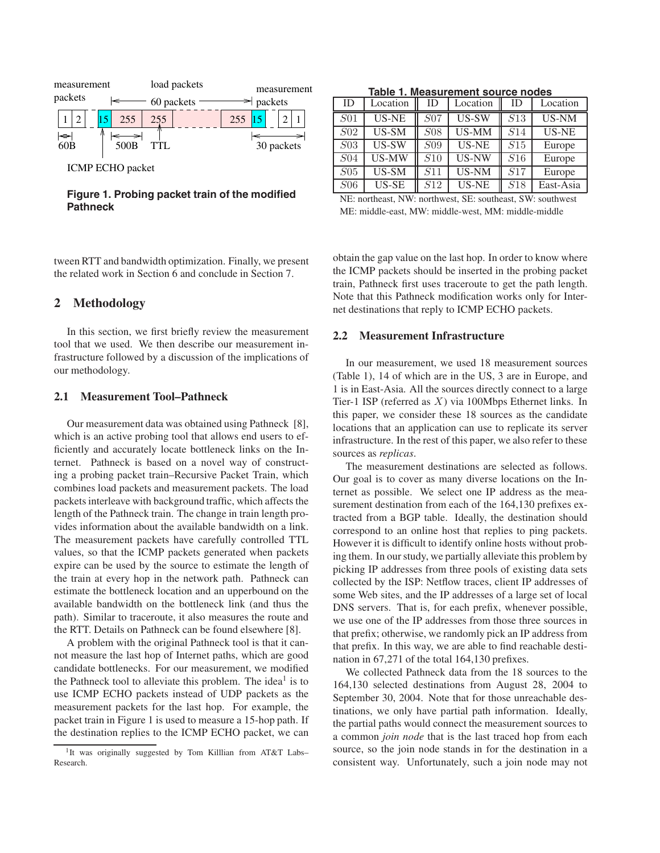

ICMP ECHO packet

**Figure 1. Probing packet train of the modified Pathneck**

tween RTT and bandwidth optimization. Finally, we present the related work in Section 6 and conclude in Section 7.

## **2 Methodology**

In this section, we first briefly review the measurement tool that we used. We then describe our measurement infrastructure followed by a discussion of the implications of our methodology.

### **2.1 Measurement Tool–Pathneck**

Our measurement data was obtained using Pathneck [8], which is an active probing tool that allows end users to efficiently and accurately locate bottleneck links on the Internet. Pathneck is based on a novel way of constructing a probing packet train–Recursive Packet Train, which combines load packets and measurement packets. The load packets interleave with background traffic, which affects the length of the Pathneck train. The change in train length provides information about the available bandwidth on a link. The measurement packets have carefully controlled TTL values, so that the ICMP packets generated when packets expire can be used by the source to estimate the length of the train at every hop in the network path. Pathneck can estimate the bottleneck location and an upperbound on the available bandwidth on the bottleneck link (and thus the path). Similar to traceroute, it also measures the route and the RTT. Details on Pathneck can be found elsewhere [8].

A problem with the original Pathneck tool is that it cannot measure the last hop of Internet paths, which are good candidate bottlenecks. For our measurement, we modified the Pathneck tool to alleviate this problem. The idea<sup>1</sup> is to use ICMP ECHO packets instead of UDP packets as the measurement packets for the last hop. For example, the packet train in Figure 1 is used to measure a 15-hop path. If the destination replies to the ICMP ECHO packet, we can

|                  | Table 1. Measurement source nodes |                 |                     |     |           |  |  |  |  |  |  |
|------------------|-----------------------------------|-----------------|---------------------|-----|-----------|--|--|--|--|--|--|
| ID               | Location                          | ID              | Location            | ID  | Location  |  |  |  |  |  |  |
| <i>S</i> 01      | <b>US-NE</b>                      | <i>S</i> 07     | US-SW               | S13 | US-NM     |  |  |  |  |  |  |
| S <sub>02</sub>  | US-SM                             | S <sub>08</sub> | US-MM               | S14 | US-NE     |  |  |  |  |  |  |
| $\overline{S03}$ | $\overline{US-SW}$                | S <sub>09</sub> | US-NE               | S15 | Europe    |  |  |  |  |  |  |
| S <sub>04</sub>  | US-MW                             | S10             | US-NW               | S16 | Europe    |  |  |  |  |  |  |
| $S_{05}$         | $\overline{\text{US-SM}}$         | S11             | US-NM               | S17 | Europe    |  |  |  |  |  |  |
| S <sub>06</sub>  | US-SE                             | S12             | $\overline{US}$ -NE | S18 | East-Asia |  |  |  |  |  |  |

NE: northeast, NW: northwest, SE: southeast, SW: southwest ME: middle-east, MW: middle-west, MM: middle-middle

obtain the gap value on the last hop. In order to know where the ICMP packets should be inserted in the probing packet train, Pathneck first uses traceroute to get the path length. Note that this Pathneck modification works only for Internet destinations that reply to ICMP ECHO packets.

### **2.2 Measurement Infrastructure**

In our measurement, we used 18 measurement sources (Table 1), 14 of which are in the US, 3 are in Europe, and 1 is in East-Asia. All the sources directly connect to a large Tier-1 ISP (referred as *X*) via 100Mbps Ethernet links. In this paper, we consider these 18 sources as the candidate locations that an application can use to replicate its server infrastructure. In the rest of this paper, we also refer to these sources as *replicas*.

The measurement destinations are selected as follows. Our goal is to cover as many diverse locations on the Internet as possible. We select one IP address as the measurement destination from each of the 164,130 prefixes extracted from a BGP table. Ideally, the destination should correspond to an online host that replies to ping packets. However it is difficult to identify online hosts without probing them. In our study, we partially alleviate this problem by picking IP addresses from three pools of existing data sets collected by the ISP: Netflow traces, client IP addresses of some Web sites, and the IP addresses of a large set of local DNS servers. That is, for each prefix, whenever possible, we use one of the IP addresses from those three sources in that prefix; otherwise, we randomly pick an IP address from that prefix. In this way, we are able to find reachable destination in 67,271 of the total 164,130 prefixes.

We collected Pathneck data from the 18 sources to the 164,130 selected destinations from August 28, 2004 to September 30, 2004. Note that for those unreachable destinations, we only have partial path information. Ideally, the partial paths would connect the measurement sources to a common *join node* that is the last traced hop from each source, so the join node stands in for the destination in a consistent way. Unfortunately, such a join node may not

<sup>&</sup>lt;sup>1</sup>It was originally suggested by Tom Killlian from AT&T Labs-Research.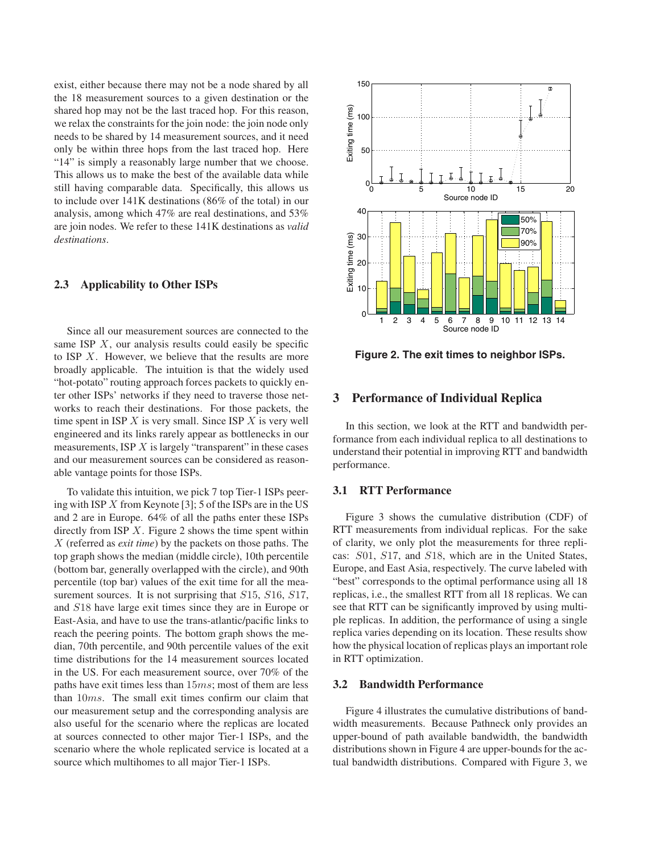exist, either because there may not be a node shared by all the 18 measurement sources to a given destination or the shared hop may not be the last traced hop. For this reason, we relax the constraints for the join node: the join node only needs to be shared by 14 measurement sources, and it need only be within three hops from the last traced hop. Here "14" is simply a reasonably large number that we choose. This allows us to make the best of the available data while still having comparable data. Specifically, this allows us to include over 141K destinations (86% of the total) in our analysis, among which 47% are real destinations, and 53% are join nodes. We refer to these 141K destinations as *valid destinations*.

## **2.3 Applicability to Other ISPs**

Since all our measurement sources are connected to the same ISP *X*, our analysis results could easily be specific to ISP *X*. However, we believe that the results are more broadly applicable. The intuition is that the widely used "hot-potato" routing approach forces packets to quickly enter other ISPs' networks if they need to traverse those networks to reach their destinations. For those packets, the time spent in ISP *X* is very small. Since ISP *X* is very well engineered and its links rarely appear as bottlenecks in our measurements, ISP *X* is largely "transparent" in these cases and our measurement sources can be considered as reasonable vantage points for those ISPs.

To validate this intuition, we pick 7 top Tier-1 ISPs peering with ISP *X* from Keynote [3]; 5 of the ISPs are in the US and 2 are in Europe. 64% of all the paths enter these ISPs directly from ISP *X*. Figure 2 shows the time spent within *X* (referred as *exit time*) by the packets on those paths. The top graph shows the median (middle circle), 10th percentile (bottom bar, generally overlapped with the circle), and 90th percentile (top bar) values of the exit time for all the measurement sources. It is not surprising that *S*15, *S*16, *S*17, and *S*18 have large exit times since they are in Europe or East-Asia, and have to use the trans-atlantic/pacific links to reach the peering points. The bottom graph shows the median, 70th percentile, and 90th percentile values of the exit time distributions for the 14 measurement sources located in the US. For each measurement source, over 70% of the paths have exit times less than 15*ms*; most of them are less than 10*ms*. The small exit times confirm our claim that our measurement setup and the corresponding analysis are also useful for the scenario where the replicas are located at sources connected to other major Tier-1 ISPs, and the scenario where the whole replicated service is located at a source which multihomes to all major Tier-1 ISPs.



**Figure 2. The exit times to neighbor ISPs.**

## **3 Performance of Individual Replica**

In this section, we look at the RTT and bandwidth performance from each individual replica to all destinations to understand their potential in improving RTT and bandwidth performance.

## **3.1 RTT Performance**

Figure 3 shows the cumulative distribution (CDF) of RTT measurements from individual replicas. For the sake of clarity, we only plot the measurements for three replicas: *S*01, *S*17, and *S*18, which are in the United States, Europe, and East Asia, respectively. The curve labeled with "best" corresponds to the optimal performance using all 18 replicas, i.e., the smallest RTT from all 18 replicas. We can see that RTT can be significantly improved by using multiple replicas. In addition, the performance of using a single replica varies depending on its location. These results show how the physical location of replicas plays an important role in RTT optimization.

#### **3.2 Bandwidth Performance**

Figure 4 illustrates the cumulative distributions of bandwidth measurements. Because Pathneck only provides an upper-bound of path available bandwidth, the bandwidth distributions shown in Figure 4 are upper-bounds for the actual bandwidth distributions. Compared with Figure 3, we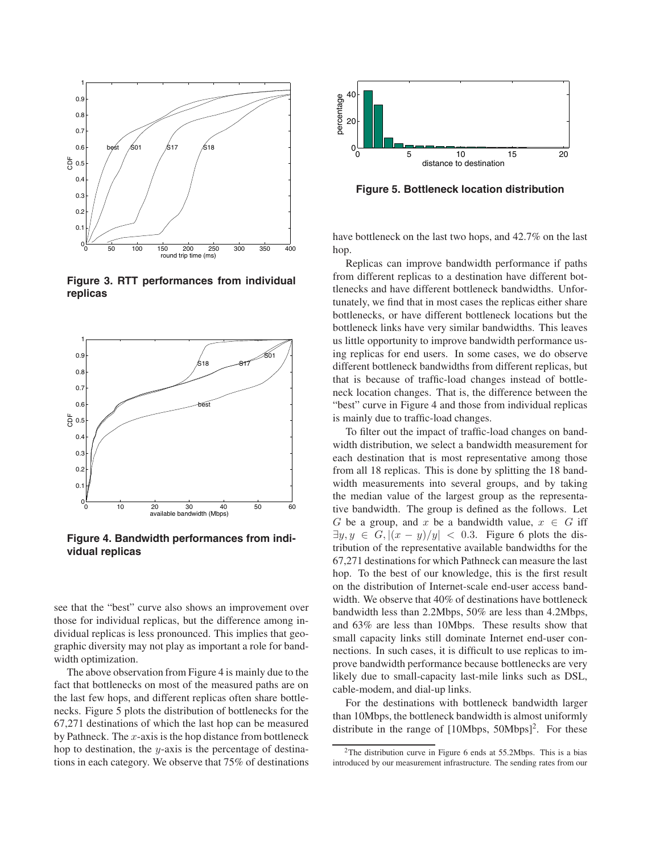

**Figure 3. RTT performances from individual replicas**



**Figure 4. Bandwidth performances from individual replicas**

see that the "best" curve also shows an improvement over those for individual replicas, but the difference among individual replicas is less pronounced. This implies that geographic diversity may not play as important a role for bandwidth optimization.

The above observation from Figure 4 is mainly due to the fact that bottlenecks on most of the measured paths are on the last few hops, and different replicas often share bottlenecks. Figure 5 plots the distribution of bottlenecks for the 67,271 destinations of which the last hop can be measured by Pathneck. The *x*-axis is the hop distance from bottleneck hop to destination, the *y*-axis is the percentage of destinations in each category. We observe that 75% of destinations



**Figure 5. Bottleneck location distribution**

have bottleneck on the last two hops, and 42.7% on the last hop.

Replicas can improve bandwidth performance if paths from different replicas to a destination have different bottlenecks and have different bottleneck bandwidths. Unfortunately, we find that in most cases the replicas either share bottlenecks, or have different bottleneck locations but the bottleneck links have very similar bandwidths. This leaves us little opportunity to improve bandwidth performance using replicas for end users. In some cases, we do observe different bottleneck bandwidths from different replicas, but that is because of traffic-load changes instead of bottleneck location changes. That is, the difference between the "best" curve in Figure 4 and those from individual replicas is mainly due to traffic-load changes.

To filter out the impact of traffic-load changes on bandwidth distribution, we select a bandwidth measurement for each destination that is most representative among those from all 18 replicas. This is done by splitting the 18 bandwidth measurements into several groups, and by taking the median value of the largest group as the representative bandwidth. The group is defined as the follows. Let *G* be a group, and *x* be a bandwidth value,  $x \in G$  iff  $\exists y, y \in G, |(x - y)/y| < 0.3$ . Figure 6 plots the distribution of the representative available bandwidths for the 67,271 destinations for which Pathneck can measure the last hop. To the best of our knowledge, this is the first result on the distribution of Internet-scale end-user access bandwidth. We observe that 40% of destinations have bottleneck bandwidth less than 2.2Mbps, 50% are less than 4.2Mbps, and 63% are less than 10Mbps. These results show that small capacity links still dominate Internet end-user connections. In such cases, it is difficult to use replicas to improve bandwidth performance because bottlenecks are very likely due to small-capacity last-mile links such as DSL, cable-modem, and dial-up links.

For the destinations with bottleneck bandwidth larger than 10Mbps, the bottleneck bandwidth is almost uniformly distribute in the range of  $[10Mbps, 50Mbps]^2$ . For these

<sup>2</sup>The distribution curve in Figure 6 ends at 55.2Mbps. This is a bias introduced by our measurement infrastructure. The sending rates from our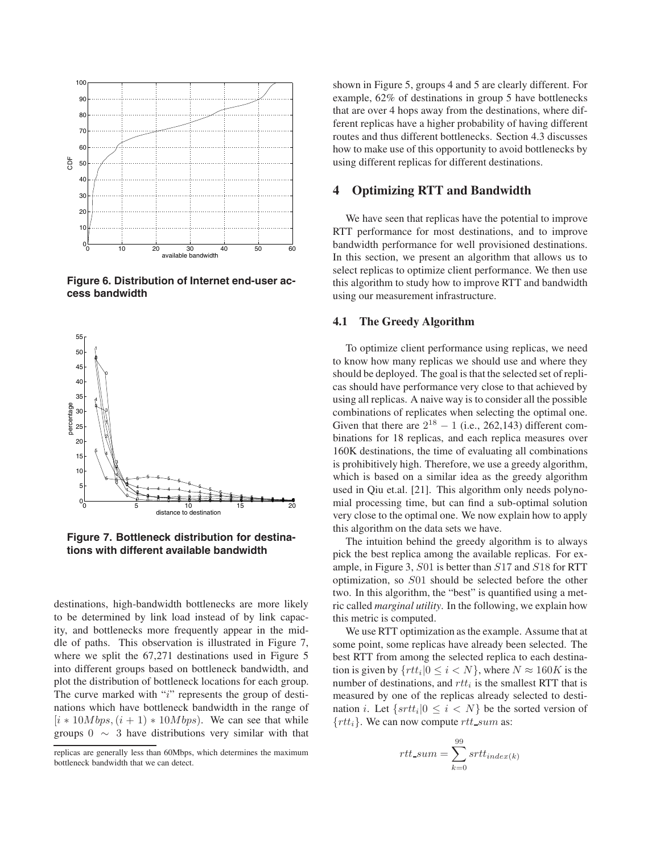

**Figure 6. Distribution of Internet end-user access bandwidth**



**Figure 7. Bottleneck distribution for destinations with different available bandwidth**

destinations, high-bandwidth bottlenecks are more likely to be determined by link load instead of by link capacity, and bottlenecks more frequently appear in the middle of paths. This observation is illustrated in Figure 7, where we split the 67,271 destinations used in Figure 5 into different groups based on bottleneck bandwidth, and plot the distribution of bottleneck locations for each group. The curve marked with "*i*" represents the group of destinations which have bottleneck bandwidth in the range of  $[i * 10Mbps, (i + 1) * 10Mbps]$ . We can see that while groups  $0 \sim 3$  have distributions very similar with that shown in Figure 5, groups 4 and 5 are clearly different. For example, 62% of destinations in group 5 have bottlenecks that are over 4 hops away from the destinations, where different replicas have a higher probability of having different routes and thus different bottlenecks. Section 4.3 discusses how to make use of this opportunity to avoid bottlenecks by using different replicas for different destinations.

## **4 Optimizing RTT and Bandwidth**

We have seen that replicas have the potential to improve RTT performance for most destinations, and to improve bandwidth performance for well provisioned destinations. In this section, we present an algorithm that allows us to select replicas to optimize client performance. We then use this algorithm to study how to improve RTT and bandwidth using our measurement infrastructure.

#### **4.1 The Greedy Algorithm**

To optimize client performance using replicas, we need to know how many replicas we should use and where they should be deployed. The goal is that the selected set of replicas should have performance very close to that achieved by using all replicas. A naive way is to consider all the possible combinations of replicates when selecting the optimal one. Given that there are  $2^{18} - 1$  (i.e., 262,143) different combinations for 18 replicas, and each replica measures over 160K destinations, the time of evaluating all combinations is prohibitively high. Therefore, we use a greedy algorithm, which is based on a similar idea as the greedy algorithm used in Qiu et.al. [21]. This algorithm only needs polynomial processing time, but can find a sub-optimal solution very close to the optimal one. We now explain how to apply this algorithm on the data sets we have.

The intuition behind the greedy algorithm is to always pick the best replica among the available replicas. For example, in Figure 3, *S*01 is better than *S*17 and *S*18 for RTT optimization, so *S*01 should be selected before the other two. In this algorithm, the "best" is quantified using a metric called *marginal utility*. In the following, we explain how this metric is computed.

We use RTT optimization as the example. Assume that at some point, some replicas have already been selected. The best RTT from among the selected replica to each destination is given by  $\{rtt_i|0 \leq i \leq N\}$ , where  $N \approx 160K$  is the number of destinations, and *rtt<sup>i</sup>* is the smallest RTT that is measured by one of the replicas already selected to destination *i*. Let  $\{ srtt_i | 0 \leq i \leq N \}$  be the sorted version of {*rtti*}. We can now compute *rtt sum* as:

$$
rtt\_sum = \sum_{k=0}^{99} srtt_{index(k)}
$$

replicas are generally less than 60Mbps, which determines the maximum bottleneck bandwidth that we can detect.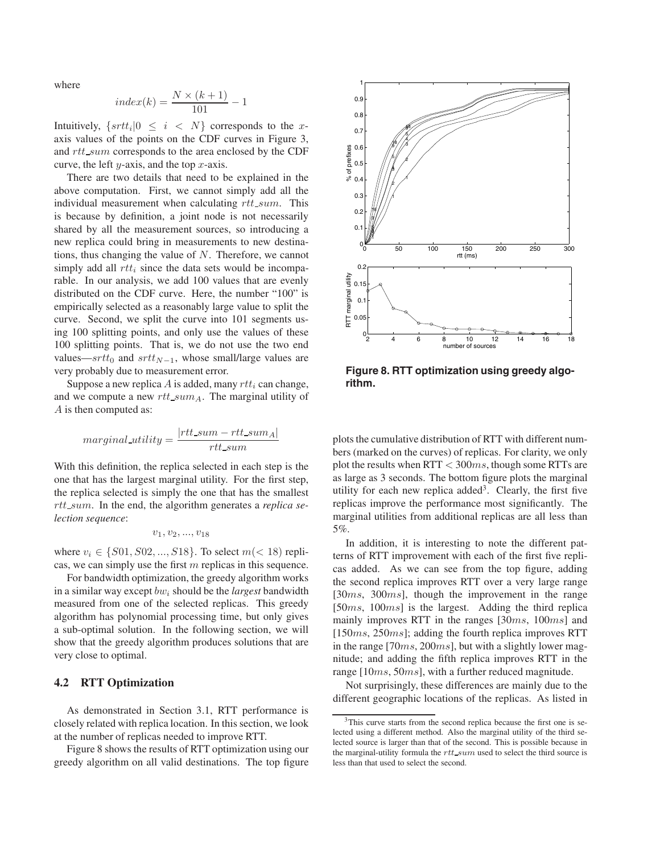where

$$
index(k) = \frac{N \times (k+1)}{101} - 1
$$

Intuitively,  $\{ srtt_i | 0 \leq i \leq N \}$  corresponds to the *x*axis values of the points on the CDF curves in Figure 3, and *rtt sum* corresponds to the area enclosed by the CDF curve, the left *y*-axis, and the top *x*-axis.

There are two details that need to be explained in the above computation. First, we cannot simply add all the individual measurement when calculating *rtt sum*. This is because by definition, a joint node is not necessarily shared by all the measurement sources, so introducing a new replica could bring in measurements to new destinations, thus changing the value of *N*. Therefore, we cannot simply add all *rtt<sup>i</sup>* since the data sets would be incomparable. In our analysis, we add 100 values that are evenly distributed on the CDF curve. Here, the number "100" is empirically selected as a reasonably large value to split the curve. Second, we split the curve into 101 segments using 100 splitting points, and only use the values of these 100 splitting points. That is, we do not use the two end values—*srtt*<sub>0</sub> and  $srt_{N-1}$ , whose small/large values are very probably due to measurement error.

Suppose a new replica *A* is added, many *rtt<sup>i</sup>* can change, and we compute a new *rtt sumA*. The marginal utility of *A* is then computed as:

$$
marginal\_utility = \frac{|rtt\_sum - rt\_sum_A|}{rtt\_sum}
$$

With this definition, the replica selected in each step is the one that has the largest marginal utility. For the first step, the replica selected is simply the one that has the smallest *rtt sum*. In the end, the algorithm generates a *replica selection sequence*:

$$
v_1, v_2, ..., v_{18} \\
$$

where *v*<sub>*i*</sub> ∈ {*S*01*, S*02*, ..., S*18}. To select *m*(*<* 18) replicas, we can simply use the first *m* replicas in this sequence.

For bandwidth optimization, the greedy algorithm works in a similar way except *bw<sup>i</sup>* should be the *largest* bandwidth measured from one of the selected replicas. This greedy algorithm has polynomial processing time, but only gives a sub-optimal solution. In the following section, we will show that the greedy algorithm produces solutions that are very close to optimal.

### **4.2 RTT Optimization**

As demonstrated in Section 3.1, RTT performance is closely related with replica location. In this section, we look at the number of replicas needed to improve RTT.

Figure 8 shows the results of RTT optimization using our greedy algorithm on all valid destinations. The top figure



**Figure 8. RTT optimization using greedy algorithm.**

plots the cumulative distribution of RTT with different numbers (marked on the curves) of replicas. For clarity, we only plot the results when RTT *<* 300*ms*, though some RTTs are as large as 3 seconds. The bottom figure plots the marginal utility for each new replica added<sup>3</sup>. Clearly, the first five replicas improve the performance most significantly. The marginal utilities from additional replicas are all less than 5%.

In addition, it is interesting to note the different patterns of RTT improvement with each of the first five replicas added. As we can see from the top figure, adding the second replica improves RTT over a very large range [30*ms*, 300*ms*], though the improvement in the range [50*ms*, 100*ms*] is the largest. Adding the third replica mainly improves RTT in the ranges [30*ms*, 100*ms*] and [150*ms*, 250*ms*]; adding the fourth replica improves RTT in the range [70*ms*, 200*ms*], but with a slightly lower magnitude; and adding the fifth replica improves RTT in the range [10*ms*, 50*ms*], with a further reduced magnitude.

Not surprisingly, these differences are mainly due to the different geographic locations of the replicas. As listed in

<sup>&</sup>lt;sup>3</sup>This curve starts from the second replica because the first one is selected using a different method. Also the marginal utility of the third selected source is larger than that of the second. This is possible because in the marginal-utility formula the *rtt sum* used to select the third source is less than that used to select the second.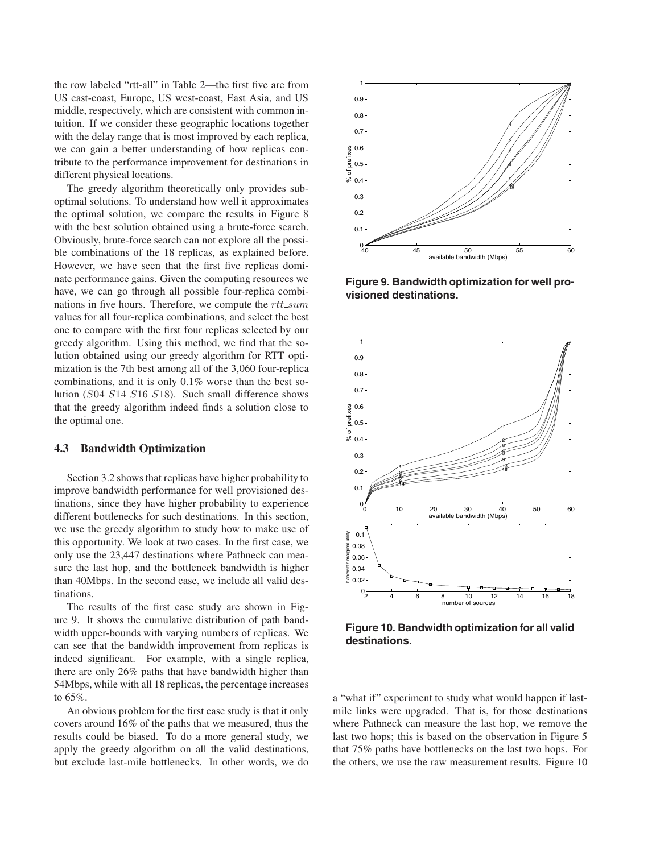the row labeled "rtt-all" in Table 2—the first five are from US east-coast, Europe, US west-coast, East Asia, and US middle, respectively, which are consistent with common intuition. If we consider these geographic locations together with the delay range that is most improved by each replica, we can gain a better understanding of how replicas contribute to the performance improvement for destinations in different physical locations.

The greedy algorithm theoretically only provides suboptimal solutions. To understand how well it approximates the optimal solution, we compare the results in Figure 8 with the best solution obtained using a brute-force search. Obviously, brute-force search can not explore all the possible combinations of the 18 replicas, as explained before. However, we have seen that the first five replicas dominate performance gains. Given the computing resources we have, we can go through all possible four-replica combinations in five hours. Therefore, we compute the *rtt sum* values for all four-replica combinations, and select the best one to compare with the first four replicas selected by our greedy algorithm. Using this method, we find that the solution obtained using our greedy algorithm for RTT optimization is the 7th best among all of the 3,060 four-replica combinations, and it is only 0.1% worse than the best solution (*S*04 *S*14 *S*16 *S*18). Such small difference shows that the greedy algorithm indeed finds a solution close to the optimal one.

#### **4.3 Bandwidth Optimization**

Section 3.2 shows that replicas have higher probability to improve bandwidth performance for well provisioned destinations, since they have higher probability to experience different bottlenecks for such destinations. In this section, we use the greedy algorithm to study how to make use of this opportunity. We look at two cases. In the first case, we only use the 23,447 destinations where Pathneck can measure the last hop, and the bottleneck bandwidth is higher than 40Mbps. In the second case, we include all valid destinations.

The results of the first case study are shown in Figure 9. It shows the cumulative distribution of path bandwidth upper-bounds with varying numbers of replicas. We can see that the bandwidth improvement from replicas is indeed significant. For example, with a single replica, there are only 26% paths that have bandwidth higher than 54Mbps, while with all 18 replicas, the percentage increases to 65%.

An obvious problem for the first case study is that it only covers around 16% of the paths that we measured, thus the results could be biased. To do a more general study, we apply the greedy algorithm on all the valid destinations, but exclude last-mile bottlenecks. In other words, we do



**Figure 9. Bandwidth optimization for well provisioned destinations.**



**Figure 10. Bandwidth optimization for all valid destinations.**

a "what if" experiment to study what would happen if lastmile links were upgraded. That is, for those destinations where Pathneck can measure the last hop, we remove the last two hops; this is based on the observation in Figure 5 that 75% paths have bottlenecks on the last two hops. For the others, we use the raw measurement results. Figure 10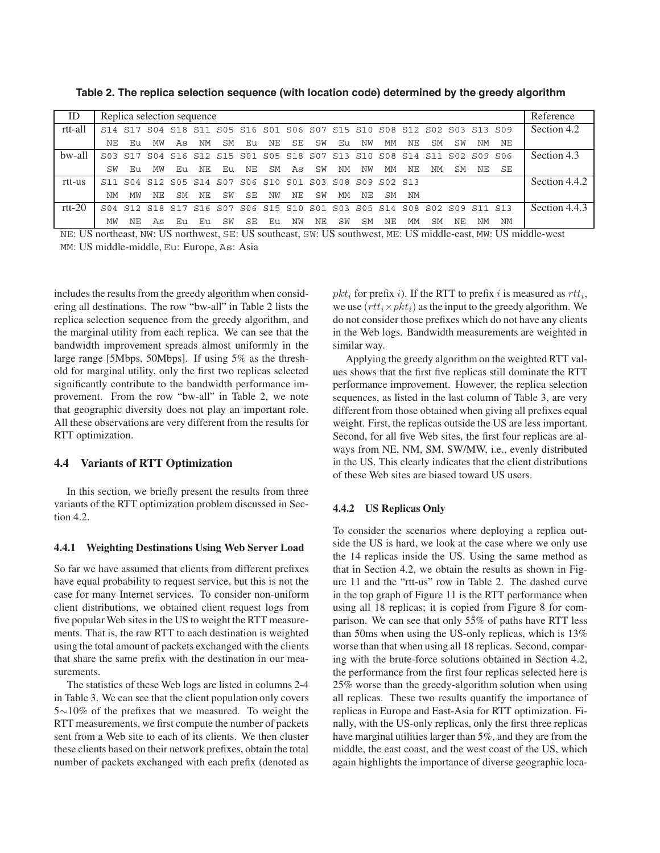| ID       | Replica selection sequence      |         |     |     |                                                                         |     |     |    |    |     |    | Reference |     |     |     |                 |         |    |               |
|----------|---------------------------------|---------|-----|-----|-------------------------------------------------------------------------|-----|-----|----|----|-----|----|-----------|-----|-----|-----|-----------------|---------|----|---------------|
| rtt-all  | S <sub>14</sub> S <sub>17</sub> |         |     |     | S04 S18 S11 S05 S16 S01 S06 S07 S15 S10 S08 S12 S02 S03 S13 S09         |     |     |    |    |     |    |           |     |     |     |                 |         |    | Section 4.2   |
|          | NE.                             | Eu      | MW  | As  | ΝM                                                                      | SM  | Eu  | NE | SE | SW  | Eu | NW        | МM  | NE. | .SM | SW              | NΜ      | NΕ |               |
| bw-all   |                                 | S03 S17 |     |     | S04 S16 S12 S15 S01 S05 S18 S07 S13 S10 S08 S14 S11                     |     |     |    |    |     |    |           |     |     |     | S <sub>02</sub> | SO9 SO6 |    | Section 4.3   |
|          | SW                              | Eu      | MW  | Eu  | NΕ                                                                      | Eu. | NΕ  | SM | As | SW  | ΝM | NW        | МM  | NE. | NM  | .SM             | NE.     | SE |               |
| rtt-us   |                                 |         |     |     | S11 S04 S12 S05 S14 S07 S06 S10 S01 S03 S08 S09 S02 S13                 |     |     |    |    |     |    |           |     |     |     |                 |         |    | Section 4.4.2 |
|          | ΝM                              | МW      | NE. | SM  | NΕ                                                                      | SW  | SE. | ΝW | NΕ | SW  | МM | NE.       | .SM | NΜ  |     |                 |         |    |               |
| $rtt-20$ |                                 |         |     |     | S04 S12 S18 S17 S16 S07 S06 S15 S10 S01 S03 S05 S14 S08 S02 S09 S11 S13 |     |     |    |    |     |    |           |     |     |     |                 |         |    | Section 4.4.3 |
|          | MW                              | NΕ      | As  | Eu. | Eu                                                                      | SW  | SE. | Eu | NW | NE. | SW | SM        | NF. | МM  | SM  | NE              | NΜ      | ΝM |               |

**Table 2. The replica selection sequence (with location code) determined by the greedy algorithm**

NE: US northeast, NW: US northwest, SE: US southeast, SW: US southwest, ME: US middle-east, MW: US middle-west MM: US middle-middle, Eu: Europe, As: Asia

includes the results from the greedy algorithm when considering all destinations. The row "bw-all" in Table 2 lists the replica selection sequence from the greedy algorithm, and the marginal utility from each replica. We can see that the bandwidth improvement spreads almost uniformly in the large range [5Mbps, 50Mbps]. If using 5% as the threshold for marginal utility, only the first two replicas selected significantly contribute to the bandwidth performance improvement. From the row "bw-all" in Table 2, we note that geographic diversity does not play an important role. All these observations are very different from the results for RTT optimization.

### **4.4 Variants of RTT Optimization**

In this section, we briefly present the results from three variants of the RTT optimization problem discussed in Section 4.2.

#### **4.4.1 Weighting Destinations Using Web Server Load**

So far we have assumed that clients from different prefixes have equal probability to request service, but this is not the case for many Internet services. To consider non-uniform client distributions, we obtained client request logs from five popular Web sites in the US to weight the RTT measurements. That is, the raw RTT to each destination is weighted using the total amount of packets exchanged with the clients that share the same prefix with the destination in our measurements.

The statistics of these Web logs are listed in columns 2-4 in Table 3. We can see that the client population only covers 5∼10% of the prefixes that we measured. To weight the RTT measurements, we first compute the number of packets sent from a Web site to each of its clients. We then cluster these clients based on their network prefixes, obtain the total number of packets exchanged with each prefix (denoted as

 $pkt_i$  for prefix *i*). If the RTT to prefix *i* is measured as  $rtt_i$ , we use  $(rt_i \times pkt_i)$  as the input to the greedy algorithm. We do not consider those prefixes which do not have any clients in the Web logs. Bandwidth measurements are weighted in similar way.

Applying the greedy algorithm on the weighted RTT values shows that the first five replicas still dominate the RTT performance improvement. However, the replica selection sequences, as listed in the last column of Table 3, are very different from those obtained when giving all prefixes equal weight. First, the replicas outside the US are less important. Second, for all five Web sites, the first four replicas are always from NE, NM, SM, SW/MW, i.e., evenly distributed in the US. This clearly indicates that the client distributions of these Web sites are biased toward US users.

#### **4.4.2 US Replicas Only**

To consider the scenarios where deploying a replica outside the US is hard, we look at the case where we only use the 14 replicas inside the US. Using the same method as that in Section 4.2, we obtain the results as shown in Figure 11 and the "rtt-us" row in Table 2. The dashed curve in the top graph of Figure 11 is the RTT performance when using all 18 replicas; it is copied from Figure 8 for comparison. We can see that only 55% of paths have RTT less than 50ms when using the US-only replicas, which is 13% worse than that when using all 18 replicas. Second, comparing with the brute-force solutions obtained in Section 4.2, the performance from the first four replicas selected here is 25% worse than the greedy-algorithm solution when using all replicas. These two results quantify the importance of replicas in Europe and East-Asia for RTT optimization. Finally, with the US-only replicas, only the first three replicas have marginal utilities larger than 5%, and they are from the middle, the east coast, and the west coast of the US, which again highlights the importance of diverse geographic loca-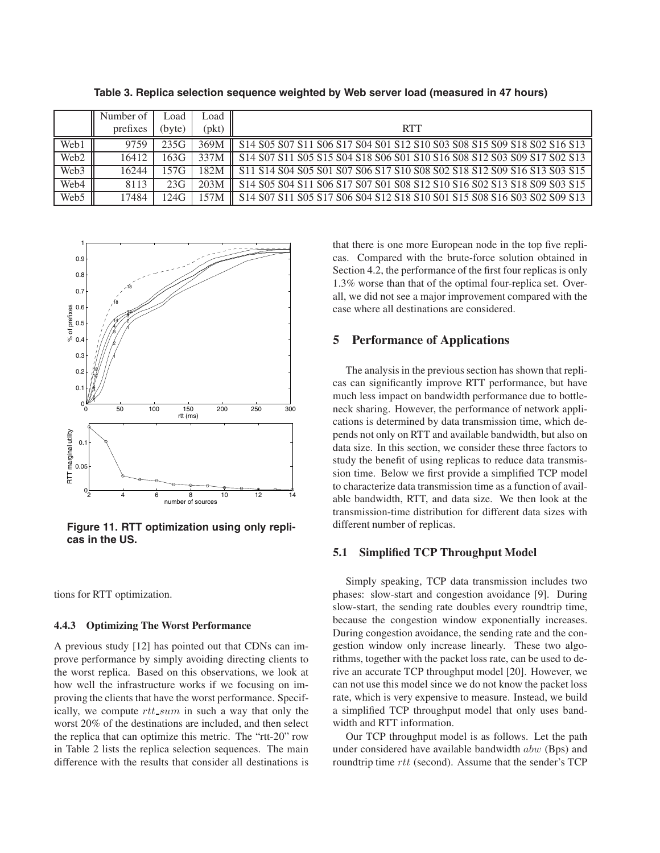|                  | Number of | _oad   | Load  |                                                                                           |
|------------------|-----------|--------|-------|-------------------------------------------------------------------------------------------|
|                  | prefixes  | (byte) | (pkt) | <b>RTT</b>                                                                                |
| Web1             | 9759      | 235G   | 369M  | \$14 \$05 \$07 \$11 \$06 \$17 \$04 \$01 \$12 \$10 \$03 \$08 \$15 \$09 \$18 \$02 \$16 \$13 |
| Web <sub>2</sub> | 16412     | 163G   | 337M  | \$14 \$07 \$11 \$05 \$15 \$04 \$18 \$06 \$01 \$10 \$16 \$08 \$12 \$03 \$09 \$17 \$02 \$13 |
| Web3             | 16244     | 157G   | 182M  | S11 S14 S04 S05 S01 S07 S06 S17 S10 S08 S02 S18 S12 S09 S16 S13 S03 S15                   |
| Web4             | 8113      | 23G    | 203M  | \$14 \$05 \$04 \$11 \$06 \$17 \$07 \$01 \$08 \$12 \$10 \$16 \$02 \$13 \$18 \$09 \$03 \$15 |
| Web5             | 17484     | 124G   | 57M   | \$14 \$07 \$11 \$05 \$17 \$06 \$04 \$12 \$18 \$10 \$01 \$15 \$08 \$16 \$03 \$02 \$09 \$13 |

**Table 3. Replica selection sequence weighted by Web server load (measured in 47 hours)**



**Figure 11. RTT optimization using only replicas in the US.**

tions for RTT optimization.

### **4.4.3 Optimizing The Worst Performance**

A previous study [12] has pointed out that CDNs can improve performance by simply avoiding directing clients to the worst replica. Based on this observations, we look at how well the infrastructure works if we focusing on improving the clients that have the worst performance. Specifically, we compute *rtt sum* in such a way that only the worst 20% of the destinations are included, and then select the replica that can optimize this metric. The "rtt-20" row in Table 2 lists the replica selection sequences. The main difference with the results that consider all destinations is that there is one more European node in the top five replicas. Compared with the brute-force solution obtained in Section 4.2, the performance of the first four replicas is only 1.3% worse than that of the optimal four-replica set. Overall, we did not see a major improvement compared with the case where all destinations are considered.

## **5 Performance of Applications**

The analysis in the previous section has shown that replicas can significantly improve RTT performance, but have much less impact on bandwidth performance due to bottleneck sharing. However, the performance of network applications is determined by data transmission time, which depends not only on RTT and available bandwidth, but also on data size. In this section, we consider these three factors to study the benefit of using replicas to reduce data transmission time. Below we first provide a simplified TCP model to characterize data transmission time as a function of available bandwidth, RTT, and data size. We then look at the transmission-time distribution for different data sizes with different number of replicas.

### **5.1 Simplified TCP Throughput Model**

Simply speaking, TCP data transmission includes two phases: slow-start and congestion avoidance [9]. During slow-start, the sending rate doubles every roundtrip time, because the congestion window exponentially increases. During congestion avoidance, the sending rate and the congestion window only increase linearly. These two algorithms, together with the packet loss rate, can be used to derive an accurate TCP throughput model [20]. However, we can not use this model since we do not know the packet loss rate, which is very expensive to measure. Instead, we build a simplified TCP throughput model that only uses bandwidth and RTT information.

Our TCP throughput model is as follows. Let the path under considered have available bandwidth *abw* (Bps) and roundtrip time *rtt* (second). Assume that the sender's TCP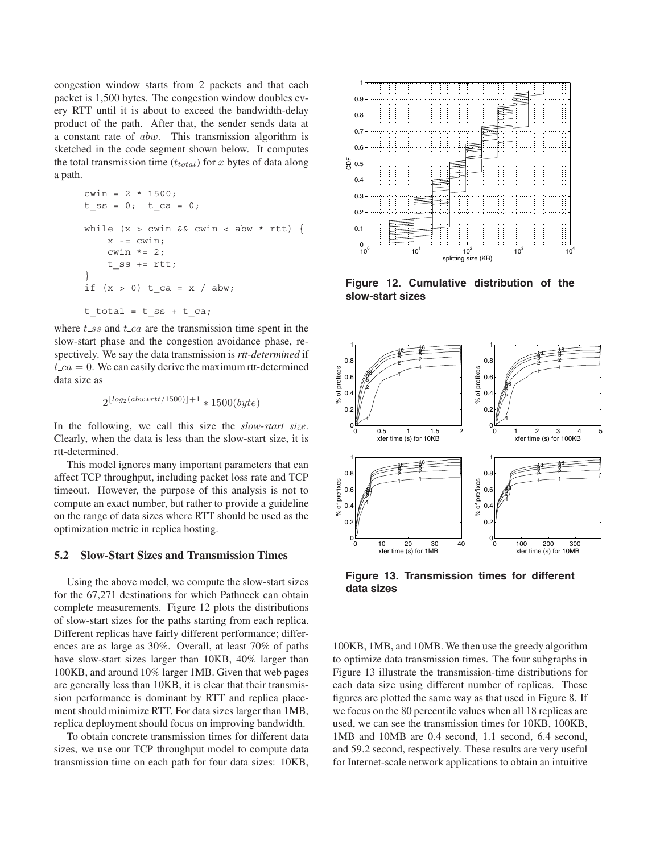congestion window starts from 2 packets and that each packet is 1,500 bytes. The congestion window doubles every RTT until it is about to exceed the bandwidth-delay product of the path. After that, the sender sends data at a constant rate of *abw*. This transmission algorithm is sketched in the code segment shown below. It computes the total transmission time (*ttotal*) for *x* bytes of data along a path.

```
cwin = 2 * 1500;t ss = 0; t ca = 0;
while (x > cwin \&cwin < abw * rtt) {
    x = cwin;cwin * = 2;t ss += rtt;
}
if (x > 0) t ca = x / abw;
t total = t ss + t ca;
```
where *t ss* and *t ca* are the transmission time spent in the slow-start phase and the congestion avoidance phase, respectively. We say the data transmission is *rtt-determined* if  $t_{ca} = 0$ . We can easily derive the maximum rtt-determined data size as

<sup>2</sup>*log*2(*abw*∗*rtt/*1500)+1 <sup>∗</sup> 1500(*byte*)

In the following, we call this size the *slow-start size*. Clearly, when the data is less than the slow-start size, it is rtt-determined.

This model ignores many important parameters that can affect TCP throughput, including packet loss rate and TCP timeout. However, the purpose of this analysis is not to compute an exact number, but rather to provide a guideline on the range of data sizes where RTT should be used as the optimization metric in replica hosting.

#### **5.2 Slow-Start Sizes and Transmission Times**

Using the above model, we compute the slow-start sizes for the 67,271 destinations for which Pathneck can obtain complete measurements. Figure 12 plots the distributions of slow-start sizes for the paths starting from each replica. Different replicas have fairly different performance; differences are as large as 30%. Overall, at least 70% of paths have slow-start sizes larger than 10KB, 40% larger than 100KB, and around 10% larger 1MB. Given that web pages are generally less than 10KB, it is clear that their transmission performance is dominant by RTT and replica placement should minimize RTT. For data sizes larger than 1MB, replica deployment should focus on improving bandwidth.

To obtain concrete transmission times for different data sizes, we use our TCP throughput model to compute data transmission time on each path for four data sizes: 10KB,



**Figure 12. Cumulative distribution of the slow-start sizes**



**Figure 13. Transmission times for different data sizes**

100KB, 1MB, and 10MB. We then use the greedy algorithm to optimize data transmission times. The four subgraphs in Figure 13 illustrate the transmission-time distributions for each data size using different number of replicas. These figures are plotted the same way as that used in Figure 8. If we focus on the 80 percentile values when all 18 replicas are used, we can see the transmission times for 10KB, 100KB, 1MB and 10MB are 0.4 second, 1.1 second, 6.4 second, and 59.2 second, respectively. These results are very useful for Internet-scale network applications to obtain an intuitive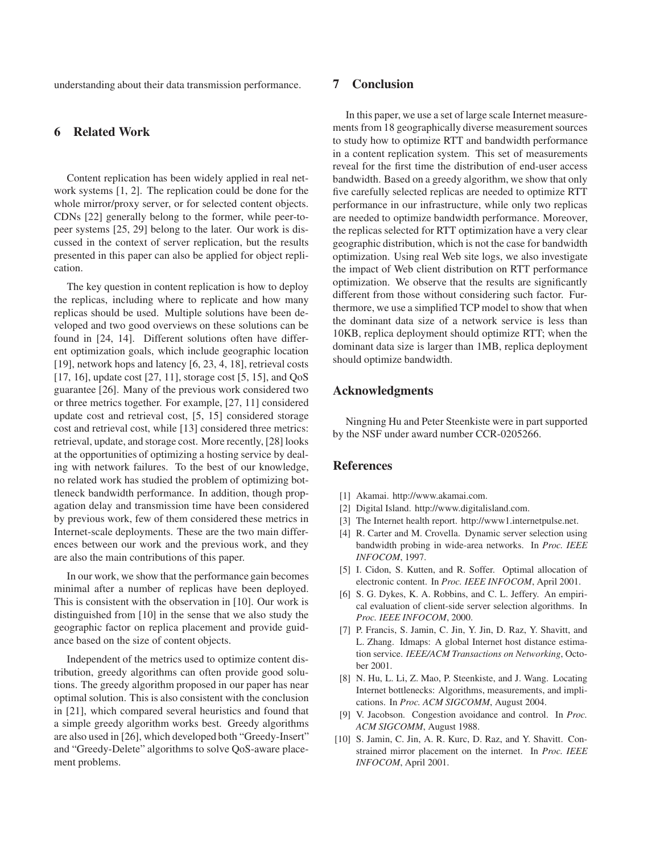understanding about their data transmission performance.

# **6 Related Work**

Content replication has been widely applied in real network systems [1, 2]. The replication could be done for the whole mirror/proxy server, or for selected content objects. CDNs [22] generally belong to the former, while peer-topeer systems [25, 29] belong to the later. Our work is discussed in the context of server replication, but the results presented in this paper can also be applied for object replication.

The key question in content replication is how to deploy the replicas, including where to replicate and how many replicas should be used. Multiple solutions have been developed and two good overviews on these solutions can be found in [24, 14]. Different solutions often have different optimization goals, which include geographic location [19], network hops and latency [6, 23, 4, 18], retrieval costs [17, 16], update cost [27, 11], storage cost [5, 15], and QoS guarantee [26]. Many of the previous work considered two or three metrics together. For example, [27, 11] considered update cost and retrieval cost, [5, 15] considered storage cost and retrieval cost, while [13] considered three metrics: retrieval, update, and storage cost. More recently, [28] looks at the opportunities of optimizing a hosting service by dealing with network failures. To the best of our knowledge, no related work has studied the problem of optimizing bottleneck bandwidth performance. In addition, though propagation delay and transmission time have been considered by previous work, few of them considered these metrics in Internet-scale deployments. These are the two main differences between our work and the previous work, and they are also the main contributions of this paper.

In our work, we show that the performance gain becomes minimal after a number of replicas have been deployed. This is consistent with the observation in [10]. Our work is distinguished from [10] in the sense that we also study the geographic factor on replica placement and provide guidance based on the size of content objects.

Independent of the metrics used to optimize content distribution, greedy algorithms can often provide good solutions. The greedy algorithm proposed in our paper has near optimal solution. This is also consistent with the conclusion in [21], which compared several heuristics and found that a simple greedy algorithm works best. Greedy algorithms are also used in [26], which developed both "Greedy-Insert" and "Greedy-Delete" algorithms to solve QoS-aware placement problems.

## **7 Conclusion**

In this paper, we use a set of large scale Internet measurements from 18 geographically diverse measurement sources to study how to optimize RTT and bandwidth performance in a content replication system. This set of measurements reveal for the first time the distribution of end-user access bandwidth. Based on a greedy algorithm, we show that only five carefully selected replicas are needed to optimize RTT performance in our infrastructure, while only two replicas are needed to optimize bandwidth performance. Moreover, the replicas selected for RTT optimization have a very clear geographic distribution, which is not the case for bandwidth optimization. Using real Web site logs, we also investigate the impact of Web client distribution on RTT performance optimization. We observe that the results are significantly different from those without considering such factor. Furthermore, we use a simplified TCP model to show that when the dominant data size of a network service is less than 10KB, replica deployment should optimize RTT; when the dominant data size is larger than 1MB, replica deployment should optimize bandwidth.

## **Acknowledgments**

Ningning Hu and Peter Steenkiste were in part supported by the NSF under award number CCR-0205266.

### **References**

- [1] Akamai. http://www.akamai.com.
- [2] Digital Island. http://www.digitalisland.com.
- [3] The Internet health report. http://www1.internetpulse.net.
- [4] R. Carter and M. Crovella. Dynamic server selection using bandwidth probing in wide-area networks. In *Proc. IEEE INFOCOM*, 1997.
- [5] I. Cidon, S. Kutten, and R. Soffer. Optimal allocation of electronic content. In *Proc. IEEE INFOCOM*, April 2001.
- [6] S. G. Dykes, K. A. Robbins, and C. L. Jeffery. An empirical evaluation of client-side server selection algorithms. In *Proc. IEEE INFOCOM*, 2000.
- [7] P. Francis, S. Jamin, C. Jin, Y. Jin, D. Raz, Y. Shavitt, and L. Zhang. Idmaps: A global Internet host distance estimation service. *IEEE/ACM Transactions on Networking*, October 2001.
- [8] N. Hu, L. Li, Z. Mao, P. Steenkiste, and J. Wang. Locating Internet bottlenecks: Algorithms, measurements, and implications. In *Proc. ACM SIGCOMM*, August 2004.
- [9] V. Jacobson. Congestion avoidance and control. In *Proc. ACM SIGCOMM*, August 1988.
- [10] S. Jamin, C. Jin, A. R. Kurc, D. Raz, and Y. Shavitt. Constrained mirror placement on the internet. In *Proc. IEEE INFOCOM*, April 2001.